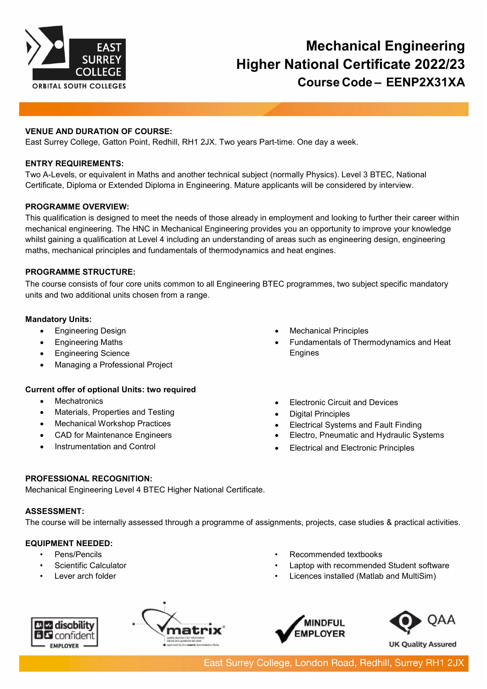

# **Mechanical Engineering Higher National Certificate 2022/23 Course Code – EENP2X31XA**

## **VENUE AND DURATION OF COURSE:**

East Surrey College, Gatton Point, Redhill, RH1 2JX. Two years Part-time. One day a week.

## **ENTRY REQUIREMENTS:**

Two A-Levels, or equivalent in Maths and another technical subject (normally Physics). Level 3 BTEC, National Certificate, Diploma or Extended Diploma in Engineering. Mature applicants will be considered by interview.

## **PROGRAMME OVERVIEW:**

This qualification is designed to meet the needs of those already in employment and looking to further their career within mechanical engineering. The HNC in Mechanical Engineering provides you an opportunity to improve your knowledge whilst gaining a qualification at Level 4 including an understanding of areas such as engineering design, engineering maths, mechanical principles and fundamentals of thermodynamics and heat engines.

#### **PROGRAMME STRUCTURE:**

The course consists of four core units common to all Engineering BTEC programmes, two subject specific mandatory units and two additional units chosen from a range.

#### **Mandatory Units:**

- Engineering Design
- Engineering Maths
- Engineering Science
- Managing a Professional Project

## **Current offer of optional Units: two required**

- Mechatronics
- Materials, Properties and Testing
- Mechanical Workshop Practices
- CAD for Maintenance Engineers
- Instrumentation and Control
- Mechanical Principles
- Fundamentals of Thermodynamics and Heat Engines
- **Electronic Circuit and Devices**
- Digital Principles
- Electrical Systems and Fault Finding
- Electro, Pneumatic and Hydraulic Systems
- Electrical and Electronic Principles

# **PROFESSIONAL RECOGNITION:**

Mechanical Engineering Level 4 BTEC Higher National Certificate.

## **ASSESSMENT:**

The course will be internally assessed through a programme of assignments, projects, case studies & practical activities.

## **EQUIPMENT NEEDED:**

- Pens/Pencils
- Scientific Calculator
- Lever arch folder
- Recommended textbooks
- Laptop with recommended Student software
- Licences installed (Matlab and MultiSim)









**UK Quality Assured**